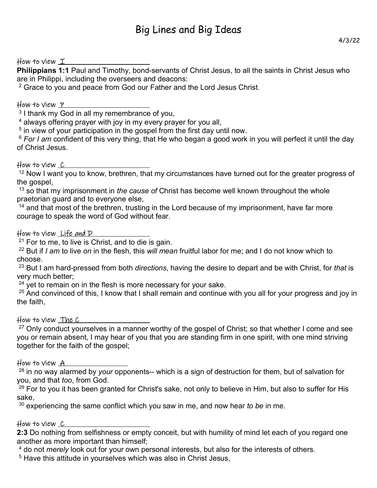# How to view I

**Philippians 1:1** Paul and Timothy, bond-servants of Christ Jesus, to all the saints in Christ Jesus who are in Philippi, including the overseers and deacons:

 $2$  Grace to you and peace from God our Father and the Lord Jesus Christ.

### How to view  $\underline{\mathsf{\ }P}$

<sup>3</sup> I thank my God in all my remembrance of you,

4 always offering prayer with joy in my every prayer for you all,

<sup>5</sup> in view of your participation in the gospel from the first day until now.

<sup>6</sup> *For I am* confident of this very thing, that He who began a good work in you will perfect it until the day of Christ Jesus.

#### How to view C

<sup>12</sup> Now I want you to know, brethren, that my circumstances have turned out for the greater progress of the gospel,

<sup>13</sup> so that my imprisonment in *the cause of* Christ has become well known throughout the whole praetorian guard and to everyone else,

 $14$  and that most of the brethren, trusting in the Lord because of my imprisonment, have far more courage to speak the word of God without fear.

#### How to view Life and D

 $21$  For to me, to live is Christ, and to die is gain.

<sup>22</sup> But if *I am* to live *on* in the flesh, this *will mean* fruitful labor for me; and I do not know which to choose.

<sup>23</sup> But I am hard-pressed from both *directions*, having the desire to depart and be with Christ, for *that* is very much better;

 $24$  yet to remain on in the flesh is more necessary for your sake.

 $25$  And convinced of this, I know that I shall remain and continue with you all for your progress and joy in the faith,

# How to view The C

 $27$  Only conduct yourselves in a manner worthy of the gospel of Christ; so that whether I come and see you or remain absent, I may hear of you that you are standing firm in one spirit, with one mind striving together for the faith of the gospel;

#### How to view  $\mathop{A}\nolimits_-$

<sup>28</sup> in no way alarmed by *your* opponents-- which is a sign of destruction for them, but of salvation for you, and that *too*, from God.

 $^{29}$  For to you it has been granted for Christ's sake, not only to believe in Him, but also to suffer for His sake,

<sup>30</sup> experiencing the same conflict which you saw in me, and now hear *to be* in me.

# How to view <u>C</u>

**2:3** Do nothing from selfishness or empty conceit, but with humility of mind let each of you regard one another as more important than himself;

4 do not *merely* look out for your own personal interests, but also for the interests of others.

<sup>5</sup> Have this attitude in yourselves which was also in Christ Jesus,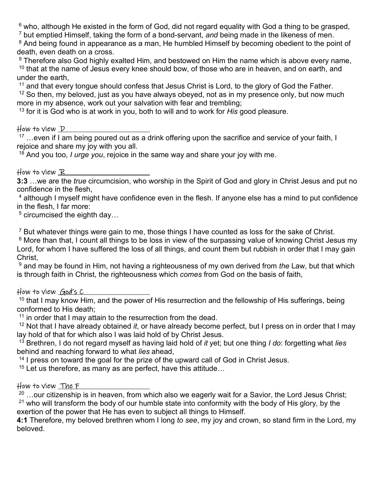$^6$  who, although He existed in the form of God, did not regard equality with God a thing to be grasped,

7 but emptied Himself, taking the form of a bond-servant, *and* being made in the likeness of men.

<sup>8</sup> And being found in appearance as a man, He humbled Himself by becoming obedient to the point of death, even death on a cross.

 $^9$  Therefore also God highly exalted Him, and bestowed on Him the name which is above every name,  $10$  that at the name of Jesus every knee should bow, of those who are in heaven, and on earth, and under the earth,

<sup>11</sup> and that every tongue should confess that Jesus Christ is Lord, to the glory of God the Father.

 $12$  So then, my beloved, just as you have always obeyed, not as in my presence only, but now much more in my absence, work out your salvation with fear and trembling;

<sup>13</sup> for it is God who is at work in you, both to will and to work for *His* good pleasure.

# How to view  $D$

 $17$  ...even if I am being poured out as a drink offering upon the sacrifice and service of your faith, I rejoice and share my joy with you all.

<sup>18</sup> And you too, *I urge you*, rejoice in the same way and share your joy with me.

# How to view  $\mathbb{R}_-$

**3:3** …we are the *true* circumcision, who worship in the Spirit of God and glory in Christ Jesus and put no confidence in the flesh,

4 although I myself might have confidence even in the flesh. If anyone else has a mind to put confidence in the flesh, I far more:

 $5$  circumcised the eighth day…

 $7$  But whatever things were gain to me, those things I have counted as loss for the sake of Christ.

<sup>8</sup> More than that, I count all things to be loss in view of the surpassing value of knowing Christ Jesus my Lord, for whom I have suffered the loss of all things, and count them but rubbish in order that I may gain Christ,

9 and may be found in Him, not having a righteousness of my own derived from *the* Law, but that which is through faith in Christ, the righteousness which *comes* from God on the basis of faith,

# How to view God's C

 $10$  that I may know Him, and the power of His resurrection and the fellowship of His sufferings, being conformed to His death;

 $11$  in order that I may attain to the resurrection from the dead.

<sup>12</sup> Not that I have already obtained *it*, or have already become perfect, but I press on in order that I may lay hold of that for which also I was laid hold of by Christ Jesus.

<sup>13</sup> Brethren, I do not regard myself as having laid hold of *it* yet; but one thing *I do*: forgetting what *lies*  behind and reaching forward to what *lies* ahead,

<sup>14</sup> I press on toward the goal for the prize of the upward call of God in Christ Jesus.

 $15$  Let us therefore, as many as are perfect, have this attitude...

# How to view The F

 $^{20}$  …our citizenship is in heaven, from which also we eagerly wait for a Savior, the Lord Jesus Christ;  $21$  who will transform the body of our humble state into conformity with the body of His glory, by the exertion of the power that He has even to subject all things to Himself.

**4:1** Therefore, my beloved brethren whom I long *to see*, my joy and crown, so stand firm in the Lord, my beloved.